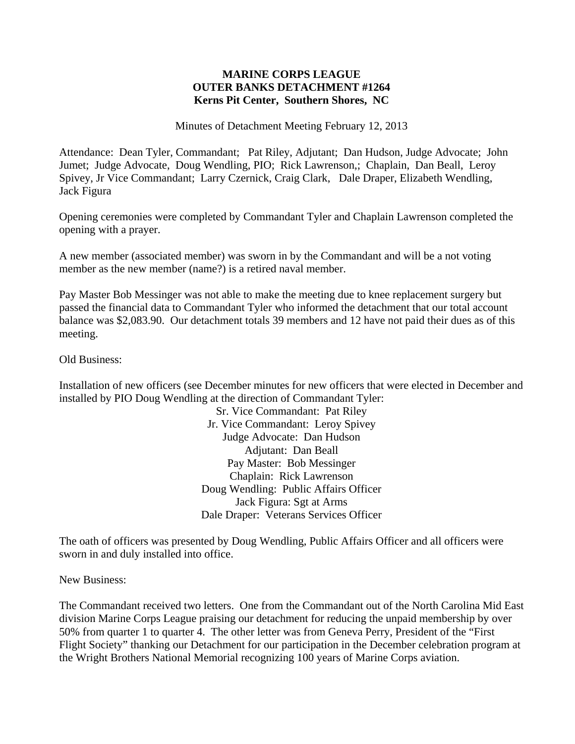## **MARINE CORPS LEAGUE OUTER BANKS DETACHMENT #1264 Kerns Pit Center, Southern Shores, NC**

Minutes of Detachment Meeting February 12, 2013

Attendance: Dean Tyler, Commandant; Pat Riley, Adjutant; Dan Hudson, Judge Advocate; John Jumet; Judge Advocate, Doug Wendling, PIO; Rick Lawrenson,; Chaplain, Dan Beall, Leroy Spivey, Jr Vice Commandant; Larry Czernick, Craig Clark, Dale Draper, Elizabeth Wendling, Jack Figura

Opening ceremonies were completed by Commandant Tyler and Chaplain Lawrenson completed the opening with a prayer.

A new member (associated member) was sworn in by the Commandant and will be a not voting member as the new member (name?) is a retired naval member.

Pay Master Bob Messinger was not able to make the meeting due to knee replacement surgery but passed the financial data to Commandant Tyler who informed the detachment that our total account balance was \$2,083.90. Our detachment totals 39 members and 12 have not paid their dues as of this meeting.

Old Business:

Installation of new officers (see December minutes for new officers that were elected in December and installed by PIO Doug Wendling at the direction of Commandant Tyler:

Sr. Vice Commandant: Pat Riley Jr. Vice Commandant: Leroy Spivey Judge Advocate: Dan Hudson Adjutant: Dan Beall Pay Master: Bob Messinger Chaplain: Rick Lawrenson Doug Wendling: Public Affairs Officer Jack Figura: Sgt at Arms Dale Draper: Veterans Services Officer

The oath of officers was presented by Doug Wendling, Public Affairs Officer and all officers were sworn in and duly installed into office.

New Business:

The Commandant received two letters. One from the Commandant out of the North Carolina Mid East division Marine Corps League praising our detachment for reducing the unpaid membership by over 50% from quarter 1 to quarter 4. The other letter was from Geneva Perry, President of the "First Flight Society" thanking our Detachment for our participation in the December celebration program at the Wright Brothers National Memorial recognizing 100 years of Marine Corps aviation.